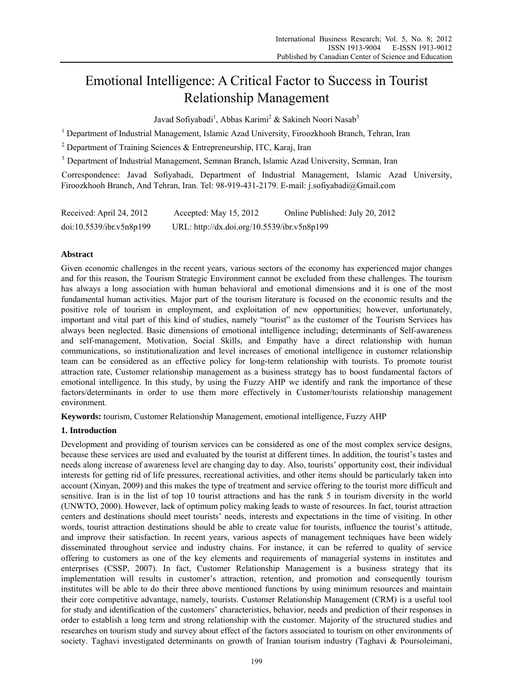# Emotional Intelligence: A Critical Factor to Success in Tourist Relationship Management

Javad Sofiyabadi<sup>1</sup>, Abbas Karimi<sup>2</sup> & Sakineh Noori Nasab<sup>3</sup>

<sup>1</sup> Department of Industrial Management, Islamic Azad University, Firoozkhooh Branch, Tehran, Iran

<sup>2</sup> Department of Training Sciences & Entrepreneurship, ITC, Karaj, Iran

<sup>3</sup> Department of Industrial Management, Semnan Branch, Islamic Azad University, Semnan, Iran

Correspondence: Javad Sofiyabadi, Department of Industrial Management, Islamic Azad University, Firoozkhooh Branch, And Tehran, Iran. Tel: 98-919-431-2179. E-mail: j.sofiyabadi@Gmail.com

| Received: April 24, 2012 | Accepted: May $15, 2012$                    | Online Published: July 20, 2012 |
|--------------------------|---------------------------------------------|---------------------------------|
| doi:10.5539/ibr.v5n8p199 | URL: http://dx.doi.org/10.5539/ibr.v5n8p199 |                                 |

## **Abstract**

Given economic challenges in the recent years, various sectors of the economy has experienced major changes and for this reason, the Tourism Strategic Environment cannot be excluded from these challenges. The tourism has always a long association with human behavioral and emotional dimensions and it is one of the most fundamental human activities. Major part of the tourism literature is focused on the economic results and the positive role of tourism in employment, and exploitation of new opportunities; however, unfortunately, important and vital part of this kind of studies, namely "tourist" as the customer of the Tourism Services has always been neglected. Basic dimensions of emotional intelligence including; determinants of Self-awareness and self-management, Motivation, Social Skills, and Empathy have a direct relationship with human communications, so institutionalization and level increases of emotional intelligence in customer relationship team can be considered as an effective policy for long-term relationship with tourists. To promote tourist attraction rate, Customer relationship management as a business strategy has to boost fundamental factors of emotional intelligence. In this study, by using the Fuzzy AHP we identify and rank the importance of these factors/determinants in order to use them more effectively in Customer/tourists relationship management environment.

**Keywords:** tourism, Customer Relationship Management, emotional intelligence, Fuzzy AHP

## **1. Introduction**

Development and providing of tourism services can be considered as one of the most complex service designs, because these services are used and evaluated by the tourist at different times. In addition, the tourist's tastes and needs along increase of awareness level are changing day to day. Also, tourists' opportunity cost, their individual interests for getting rid of life pressures, recreational activities, and other items should be particularly taken into account (Xinyan, 2009) and this makes the type of treatment and service offering to the tourist more difficult and sensitive. Iran is in the list of top 10 tourist attractions and has the rank 5 in tourism diversity in the world (UNWTO, 2000). However, lack of optimum policy making leads to waste of resources. In fact, tourist attraction centers and destinations should meet tourists' needs, interests and expectations in the time of visiting. In other words, tourist attraction destinations should be able to create value for tourists, influence the tourist's attitude, and improve their satisfaction. In recent years, various aspects of management techniques have been widely disseminated throughout service and industry chains. For instance, it can be referred to quality of service offering to customers as one of the key elements and requirements of managerial systems in institutes and enterprises (CSSP, 2007). In fact, Customer Relationship Management is a business strategy that its implementation will results in customer's attraction, retention, and promotion and consequently tourism institutes will be able to do their three above mentioned functions by using minimum resources and maintain their core competitive advantage, namely, tourists. Customer Relationship Management (CRM) is a useful tool for study and identification of the customers' characteristics, behavior, needs and prediction of their responses in order to establish a long term and strong relationship with the customer. Majority of the structured studies and researches on tourism study and survey about effect of the factors associated to tourism on other environments of society. Taghavi investigated determinants on growth of Iranian tourism industry (Taghavi & Poursoleimani,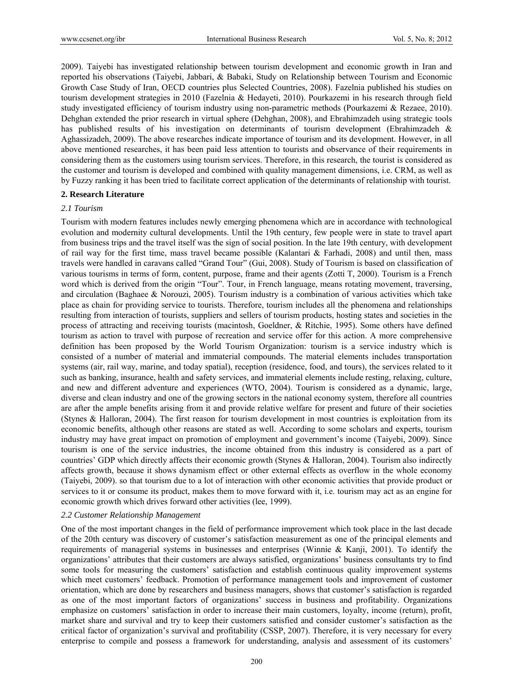2009). Taiyebi has investigated relationship between tourism development and economic growth in Iran and reported his observations (Taiyebi, Jabbari, & Babaki, Study on Relationship between Tourism and Economic Growth Case Study of Iran, OECD countries plus Selected Countries, 2008). Fazelnia published his studies on tourism development strategies in 2010 (Fazelnia & Hedayeti, 2010). Pourkazemi in his research through field study investigated efficiency of tourism industry using non-parametric methods (Pourkazemi & Rezaee, 2010). Dehghan extended the prior research in virtual sphere (Dehghan, 2008), and Ebrahimzadeh using strategic tools has published results of his investigation on determinants of tourism development (Ebrahimzadeh & Aghassizadeh, 2009). The above researches indicate importance of tourism and its development. However, in all above mentioned researches, it has been paid less attention to tourists and observance of their requirements in considering them as the customers using tourism services. Therefore, in this research, the tourist is considered as the customer and tourism is developed and combined with quality management dimensions, i.e. CRM, as well as by Fuzzy ranking it has been tried to facilitate correct application of the determinants of relationship with tourist.

#### **2. Research Literature**

#### *2.1 Tourism*

Tourism with modern features includes newly emerging phenomena which are in accordance with technological evolution and modernity cultural developments. Until the 19th century, few people were in state to travel apart from business trips and the travel itself was the sign of social position. In the late 19th century, with development of rail way for the first time, mass travel became possible (Kalantari & Farhadi, 2008) and until then, mass travels were handled in caravans called "Grand Tour" (Gui, 2008). Study of Tourism is based on classification of various tourisms in terms of form, content, purpose, frame and their agents (Zotti T, 2000). Tourism is a French word which is derived from the origin "Tour". Tour, in French language, means rotating movement, traversing, and circulation (Baghaee & Norouzi, 2005). Tourism industry is a combination of various activities which take place as chain for providing service to tourists. Therefore, tourism includes all the phenomena and relationships resulting from interaction of tourists, suppliers and sellers of tourism products, hosting states and societies in the process of attracting and receiving tourists (macintosh, Goeldner, & Ritchie, 1995). Some others have defined tourism as action to travel with purpose of recreation and service offer for this action. A more comprehensive definition has been proposed by the World Tourism Organization: tourism is a service industry which is consisted of a number of material and immaterial compounds. The material elements includes transportation systems (air, rail way, marine, and today spatial), reception (residence, food, and tours), the services related to it such as banking, insurance, health and safety services, and immaterial elements include resting, relaxing, culture, and new and different adventure and experiences (WTO, 2004). Tourism is considered as a dynamic, large, diverse and clean industry and one of the growing sectors in the national economy system, therefore all countries are after the ample benefits arising from it and provide relative welfare for present and future of their societies (Stynes & Halloran, 2004). The first reason for tourism development in most countries is exploitation from its economic benefits, although other reasons are stated as well. According to some scholars and experts, tourism industry may have great impact on promotion of employment and government's income (Taiyebi, 2009). Since tourism is one of the service industries, the income obtained from this industry is considered as a part of countries' GDP which directly affects their economic growth (Stynes & Halloran, 2004). Tourism also indirectly affects growth, because it shows dynamism effect or other external effects as overflow in the whole economy (Taiyebi, 2009). so that tourism due to a lot of interaction with other economic activities that provide product or services to it or consume its product, makes them to move forward with it, i.e. tourism may act as an engine for economic growth which drives forward other activities (lee, 1999).

#### *2.2 Customer Relationship Management*

One of the most important changes in the field of performance improvement which took place in the last decade of the 20th century was discovery of customer's satisfaction measurement as one of the principal elements and requirements of managerial systems in businesses and enterprises (Winnie & Kanji, 2001). To identify the organizations' attributes that their customers are always satisfied, organizations' business consultants try to find some tools for measuring the customers' satisfaction and establish continuous quality improvement systems which meet customers' feedback. Promotion of performance management tools and improvement of customer orientation, which are done by researchers and business managers, shows that customer's satisfaction is regarded as one of the most important factors of organizations' success in business and profitability. Organizations emphasize on customers' satisfaction in order to increase their main customers, loyalty, income (return), profit, market share and survival and try to keep their customers satisfied and consider customer's satisfaction as the critical factor of organization's survival and profitability (CSSP, 2007). Therefore, it is very necessary for every enterprise to compile and possess a framework for understanding, analysis and assessment of its customers'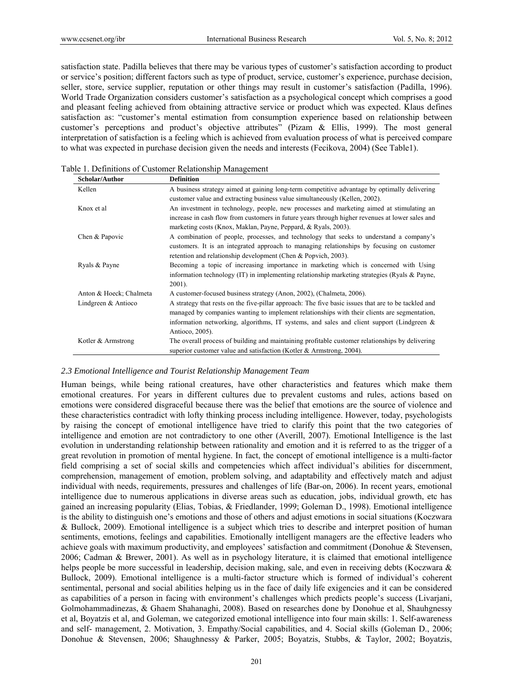satisfaction state. Padilla believes that there may be various types of customer's satisfaction according to product or service's position; different factors such as type of product, service, customer's experience, purchase decision, seller, store, service supplier, reputation or other things may result in customer's satisfaction (Padilla, 1996). World Trade Organization considers customer's satisfaction as a psychological concept which comprises a good and pleasant feeling achieved from obtaining attractive service or product which was expected. Klaus defines satisfaction as: "customer's mental estimation from consumption experience based on relationship between customer's perceptions and product's objective attributes" (Pizam & Ellis, 1999). The most general interpretation of satisfaction is a feeling which is achieved from evaluation process of what is perceived compare to what was expected in purchase decision given the needs and interests (Fecikova, 2004) (See Table1).

| <b>Scholar/Author</b>   | <b>Definition</b>                                                                                   |
|-------------------------|-----------------------------------------------------------------------------------------------------|
| Kellen                  | A business strategy aimed at gaining long-term competitive advantage by optimally delivering        |
|                         | customer value and extracting business value simultaneously (Kellen, 2002).                         |
| Knox et al              | An investment in technology, people, new processes and marketing aimed at stimulating an            |
|                         | increase in cash flow from customers in future years through higher revenues at lower sales and     |
|                         | marketing costs (Knox, Maklan, Payne, Peppard, & Ryals, 2003).                                      |
| Chen & Papovic          | A combination of people, processes, and technology that seeks to understand a company's             |
|                         | customers. It is an integrated approach to managing relationships by focusing on customer           |
|                         | retention and relationship development (Chen & Popvich, 2003).                                      |
| Ryals & Payne           | Becoming a topic of increasing importance in marketing which is concerned with Using                |
|                         | information technology (IT) in implementing relationship marketing strategies (Ryals $\&$ Payne,    |
|                         | $2001$ ).                                                                                           |
| Anton & Hoeck; Chalmeta | A customer-focused business strategy (Anon, 2002), (Chalmeta, 2006).                                |
| Lindgreen & Antioco     | A strategy that rests on the five-pillar approach: The five basic issues that are to be tackled and |
|                         | managed by companies wanting to implement relationships with their clients are segmentation,        |
|                         | information networking, algorithms, IT systems, and sales and client support (Lindgreen $\&$        |
|                         | Antioco, 2005).                                                                                     |
| Kotler & Armstrong      | The overall process of building and maintaining profitable customer relationships by delivering     |
|                         | superior customer value and satisfaction (Kotler & Armstrong, 2004).                                |

#### Table 1. Definitions of Customer Relationship Management

#### *2.3 Emotional Intelligence and Tourist Relationship Management Team*

Human beings, while being rational creatures, have other characteristics and features which make them emotional creatures. For years in different cultures due to prevalent customs and rules, actions based on emotions were considered disgraceful because there was the belief that emotions are the source of violence and these characteristics contradict with lofty thinking process including intelligence. However, today, psychologists by raising the concept of emotional intelligence have tried to clarify this point that the two categories of intelligence and emotion are not contradictory to one other (Averill, 2007). Emotional Intelligence is the last evolution in understanding relationship between rationality and emotion and it is referred to as the trigger of a great revolution in promotion of mental hygiene. In fact, the concept of emotional intelligence is a multi-factor field comprising a set of social skills and competencies which affect individual's abilities for discernment, comprehension, management of emotion, problem solving, and adaptability and effectively match and adjust individual with needs, requirements, pressures and challenges of life (Bar-on, 2006). In recent years, emotional intelligence due to numerous applications in diverse areas such as education, jobs, individual growth, etc has gained an increasing popularity (Elias, Tobias, & Friedlander, 1999; Goleman D., 1998). Emotional intelligence is the ability to distinguish one's emotions and those of others and adjust emotions in social situations (Koczwara & Bullock, 2009). Emotional intelligence is a subject which tries to describe and interpret position of human sentiments, emotions, feelings and capabilities. Emotionally intelligent managers are the effective leaders who achieve goals with maximum productivity, and employees' satisfaction and commitment (Donohue & Stevensen, 2006; Cadman & Brewer, 2001). As well as in psychology literature, it is claimed that emotional intelligence helps people be more successful in leadership, decision making, sale, and even in receiving debts (Koczwara & Bullock, 2009). Emotional intelligence is a multi-factor structure which is formed of individual's coherent sentimental, personal and social abilities helping us in the face of daily life exigencies and it can be considered as capabilities of a person in facing with environment's challenges which predicts people's success (Livarjani, Golmohammadinezas, & Ghaem Shahanaghi, 2008). Based on researches done by Donohue et al, Shauhgnessy et al, Boyatzis et al, and Goleman, we categorized emotional intelligence into four main skills: 1. Self-awareness and self- management, 2. Motivation, 3. Empathy/Social capabilities, and 4. Social skills (Goleman D., 2006; Donohue & Stevensen, 2006; Shaughnessy & Parker, 2005; Boyatzis, Stubbs, & Taylor, 2002; Boyatzis,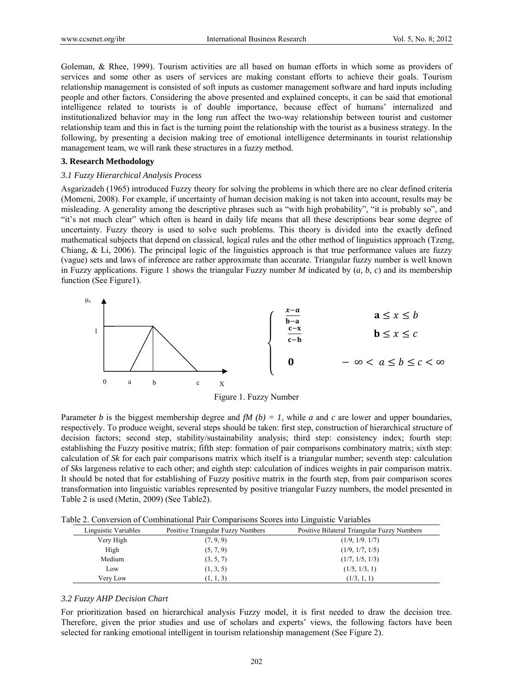Goleman, & Rhee, 1999). Tourism activities are all based on human efforts in which some as providers of services and some other as users of services are making constant efforts to achieve their goals. Tourism relationship management is consisted of soft inputs as customer management software and hard inputs including people and other factors. Considering the above presented and explained concepts, it can be said that emotional intelligence related to tourists is of double importance, because effect of humans' internalized and institutionalized behavior may in the long run affect the two-way relationship between tourist and customer relationship team and this in fact is the turning point the relationship with the tourist as a business strategy. In the following, by presenting a decision making tree of emotional intelligence determinants in tourist relationship management team, we will rank these structures in a fuzzy method.

#### **3. Research Methodology**

#### *3.1 Fuzzy Hierarchical Analysis Process*

Asgarizadeh (1965) introduced Fuzzy theory for solving the problems in which there are no clear defined criteria (Momeni, 2008). For example, if uncertainty of human decision making is not taken into account, results may be misleading. A generality among the descriptive phrases such as "with high probability", "it is probably so", and "it's not much clear" which often is heard in daily life means that all these descriptions bear some degree of uncertainty. Fuzzy theory is used to solve such problems. This theory is divided into the exactly defined mathematical subjects that depend on classical, logical rules and the other method of linguistics approach (Tzeng, Chiang, & Li, 2006). The principal logic of the linguistics approach is that true performance values are fuzzy (vague) sets and laws of inference are rather approximate than accurate. Triangular fuzzy number is well known in Fuzzy applications. Figure 1 shows the triangular Fuzzy number *M* indicated by (*a, b, c*) and its membership function (See Figure1).



Figure 1. Fuzzy Number

Parameter *b* is the biggest membership degree and  $fM(b) = I$ , while *a* and *c* are lower and upper boundaries, respectively. To produce weight, several steps should be taken: first step, construction of hierarchical structure of decision factors; second step, stability/sustainability analysis; third step: consistency index; fourth step: establishing the Fuzzy positive matrix; fifth step: formation of pair comparisons combinatory matrix; sixth step: calculation of *Sk* for each pair comparisons matrix which itself is a triangular number; seventh step: calculation of *Sk*s largeness relative to each other; and eighth step: calculation of indices weights in pair comparison matrix. It should be noted that for establishing of Fuzzy positive matrix in the fourth step, from pair comparison scores transformation into linguistic variables represented by positive triangular Fuzzy numbers, the model presented in Table 2 is used (Metin, 2009) (See Table2).

Table 2. Conversion of Combinational Pair Comparisons Scores into Linguistic Variables

| Linguistic Variables | Positive Triangular Fuzzy Numbers | Positive Bilateral Triangular Fuzzy Numbers |
|----------------------|-----------------------------------|---------------------------------------------|
| Very High            | (7, 9, 9)                         | (1/9, 1/9, 1/7)                             |
| High                 | (5, 7, 9)                         | (1/9, 1/7, 1/5)                             |
| Medium               | (3, 5, 7)                         | (1/7, 1/5, 1/3)                             |
| Low                  | (1, 3, 5)                         | (1/5, 1/3, 1)                               |
| Very Low             | 1, 1, 3                           | (1/3, 1, 1)                                 |
|                      |                                   |                                             |

#### *3.2 Fuzzy AHP Decision Chart*

For prioritization based on hierarchical analysis Fuzzy model, it is first needed to draw the decision tree. Therefore, given the prior studies and use of scholars and experts' views, the following factors have been selected for ranking emotional intelligent in tourism relationship management (See Figure 2).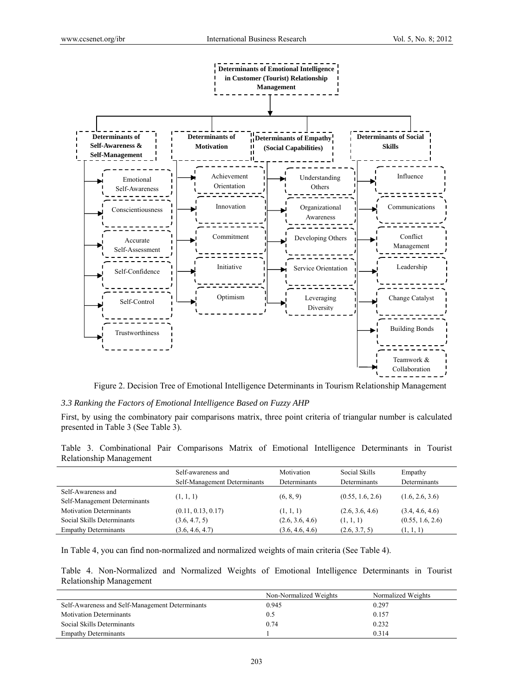

Figure 2. Decision Tree of Emotional Intelligence Determinants in Tourism Relationship Management

#### *3.3 Ranking the Factors of Emotional Intelligence Based on Fuzzy AHP*

First, by using the combinatory pair comparisons matrix, three point criteria of triangular number is calculated presented in Table 3 (See Table 3).

Table 3. Combinational Pair Comparisons Matrix of Emotional Intelligence Determinants in Tourist Relationship Management

|                                                    | Self-awareness and<br>Self-Management Determinants | Motivation<br>Determinants | Social Skills<br>Determinants | Empathy<br>Determinants |
|----------------------------------------------------|----------------------------------------------------|----------------------------|-------------------------------|-------------------------|
| Self-Awareness and<br>Self-Management Determinants | (1, 1, 1)                                          | (6, 8, 9)                  | (0.55, 1.6, 2.6)              | (1.6, 2.6, 3.6)         |
| <b>Motivation Determinants</b>                     | (0.11, 0.13, 0.17)                                 | (1, 1, 1)                  | (2.6, 3.6, 4.6)               | (3.4, 4.6, 4.6)         |
| Social Skills Determinants                         | (3.6, 4.7, 5)                                      | (2.6, 3.6, 4.6)            | (1, 1, 1)                     | (0.55, 1.6, 2.6)        |
| <b>Empathy Determinants</b>                        | (3.6, 4.6, 4.7)                                    | (3.6, 4.6, 4.6)            | (2.6, 3.7, 5)                 | (1, 1, 1)               |

In Table 4, you can find non-normalized and normalized weights of main criteria (See Table 4).

Table 4. Non-Normalized and Normalized Weights of Emotional Intelligence Determinants in Tourist Relationship Management

|                                                 | Non-Normalized Weights | Normalized Weights |
|-------------------------------------------------|------------------------|--------------------|
| Self-Awareness and Self-Management Determinants | 0.945                  | 0.297              |
| <b>Motivation Determinants</b>                  | 0.5                    | 0.157              |
| Social Skills Determinants                      | 0.74                   | 0.232              |
| <b>Empathy Determinants</b>                     |                        | 0.314              |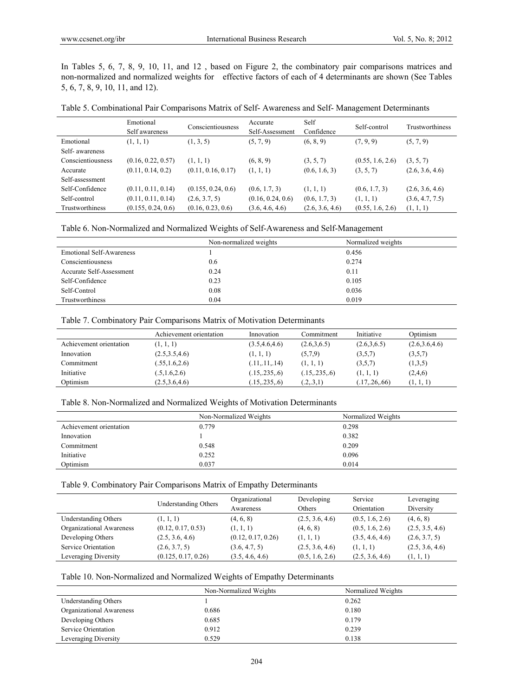In Tables 5, 6, 7, 8, 9, 10, 11, and 12 , based on Figure 2, the combinatory pair comparisons matrices and non-normalized and normalized weights for effective factors of each of 4 determinants are shown (See Tables 5, 6, 7, 8, 9, 10, 11, and 12).

|  |  |  | Table 5. Combinational Pair Comparisons Matrix of Self-Awareness and Self-Management Determinants |  |
|--|--|--|---------------------------------------------------------------------------------------------------|--|
|  |  |  |                                                                                                   |  |

|                   | Emotional          | Conscientiousness  | Accurate          | Self            | Self-control     | Trustworthiness |
|-------------------|--------------------|--------------------|-------------------|-----------------|------------------|-----------------|
|                   | Self awareness     |                    | Self-Assessment   | Confidence      |                  |                 |
| Emotional         | (1, 1, 1)          | (1, 3, 5)          | (5, 7, 9)         | (6, 8, 9)       | (7, 9, 9)        | (5, 7, 9)       |
| Self- awareness   |                    |                    |                   |                 |                  |                 |
| Conscientiousness | (0.16, 0.22, 0.57) | (1, 1, 1)          | (6, 8, 9)         | (3, 5, 7)       | (0.55, 1.6, 2.6) | (3, 5, 7)       |
| Accurate          | (0.11, 0.14, 0.2)  | (0.11, 0.16, 0.17) | (1, 1, 1)         | (0.6, 1.6, 3)   | (3, 5, 7)        | (2.6, 3.6, 4.6) |
| Self-assessment   |                    |                    |                   |                 |                  |                 |
| Self-Confidence   | (0.11, 0.11, 0.14) | (0.155, 0.24, 0.6) | (0.6, 1.7, 3)     | (1, 1, 1)       | (0.6, 1.7, 3)    | (2.6, 3.6, 4.6) |
| Self-control      | (0.11, 0.11, 0.14) | (2.6, 3.7, 5)      | (0.16, 0.24, 0.6) | (0.6, 1.7, 3)   | (1, 1, 1)        | (3.6, 4.7, 7.5) |
| Trustworthiness   | (0.155, 0.24, 0.6) | (0.16, 0.23, 0.6)  | (3.6, 4.6, 4.6)   | (2.6, 3.6, 4.6) | (0.55, 1.6, 2.6) | (1, 1, 1)       |
|                   |                    |                    |                   |                 |                  |                 |

|  |  | Table 6. Non-Normalized and Normalized Weights of Self-Awareness and Self-Management |  |
|--|--|--------------------------------------------------------------------------------------|--|
|  |  |                                                                                      |  |

|                                 | Non-normalized weights | Normalized weights |
|---------------------------------|------------------------|--------------------|
| <b>Emotional Self-Awareness</b> |                        | 0.456              |
| Conscientiousness               | 0.6                    | 0.274              |
| Accurate Self-Assessment        | 0.24                   | 0.11               |
| Self-Confidence                 | 0.23                   | 0.105              |
| Self-Control                    | 0.08                   | 0.036              |
| Trustworthiness                 | 0.04                   | 0.019              |

| Table 7. Combinatory Pair Comparisons Matrix of Motivation Determinants |  |
|-------------------------------------------------------------------------|--|
|-------------------------------------------------------------------------|--|

|                         | Achievement orientation | Innovation      | Commitment    | Initiative      | Optimism      |
|-------------------------|-------------------------|-----------------|---------------|-----------------|---------------|
| Achievement orientation | (1, 1, 1)               | (3.5, 4.6, 4.6) | (2.6,3,6.5)   | (2.6,3,6.5)     | (2.6,3.6,4.6) |
| Innovation              | (2.5,3.5,4.6)           | (1, 1, 1)       | (5,7,9)       | (3,5,7)         | (3,5,7)       |
| Commitment              | (.55, 1.6, 2.6)         | (.11, .11, .14) | (1, 1, 1)     | (3,5,7)         | (1,3,5)       |
| Initiative              | (.5, 1.6, 2.6)          | (.15,.235,.6)   | (.15,.235,.6) | (1, 1, 1)       | (2,4,6)       |
| Optimism                | (2.5, 3.6, 4.6)         | (.15,.235,.6)   | (.2, .3, 1)   | (.17, .26, .66) | (1, 1, 1)     |

## Table 8. Non-Normalized and Normalized Weights of Motivation Determinants

|                         | Non-Normalized Weights | Normalized Weights |
|-------------------------|------------------------|--------------------|
| Achievement orientation | 0.779                  | 0.298              |
| Innovation              |                        | 0.382              |
| Commitment              | 0.548                  | 0.209              |
| Initiative              | 0.252                  | 0.096              |
| Optimism                | 0.037                  | 0.014              |

## Table 9. Combinatory Pair Comparisons Matrix of Empathy Determinants

|                          | <b>Understanding Others</b> | Organizational     | Developing      | Service         | Leveraging      |
|--------------------------|-----------------------------|--------------------|-----------------|-----------------|-----------------|
|                          |                             | Awareness          | Others          | Orientation     | Diversity       |
| Understanding Others     | (1, 1, 1)                   | (4, 6, 8)          | (2.5, 3.6, 4.6) | (0.5, 1.6, 2.6) | (4, 6, 8)       |
| Organizational Awareness | (0.12, 0.17, 0.53)          | (1, 1, 1)          | (4, 6, 8)       | (0.5, 1.6, 2.6) | (2.5, 3.5, 4.6) |
| Developing Others        | (2.5, 3.6, 4.6)             | (0.12, 0.17, 0.26) | (1, 1, 1)       | (3.5, 4.6, 4.6) | (2.6, 3.7, 5)   |
| Service Orientation      | (2.6, 3.7, 5)               | (3.6, 4.7, 5)      | (2.5, 3.6, 4.6) | (1, 1, 1)       | (2.5, 3.6, 4.6) |
| Leveraging Diversity     | (0.125, 0.17, 0.26)         | (3.5, 4.6, 4.6)    | (0.5, 1.6, 2.6) | (2.5, 3.6, 4.6) | (1, 1, 1)       |

## Table 10. Non-Normalized and Normalized Weights of Empathy Determinants

|                          | Non-Normalized Weights | Normalized Weights |
|--------------------------|------------------------|--------------------|
| Understanding Others     |                        | 0.262              |
| Organizational Awareness | 0.686                  | 0.180              |
| Developing Others        | 0.685                  | 0.179              |
| Service Orientation      | 0.912                  | 0.239              |
| Leveraging Diversity     | 0.529                  | 0.138              |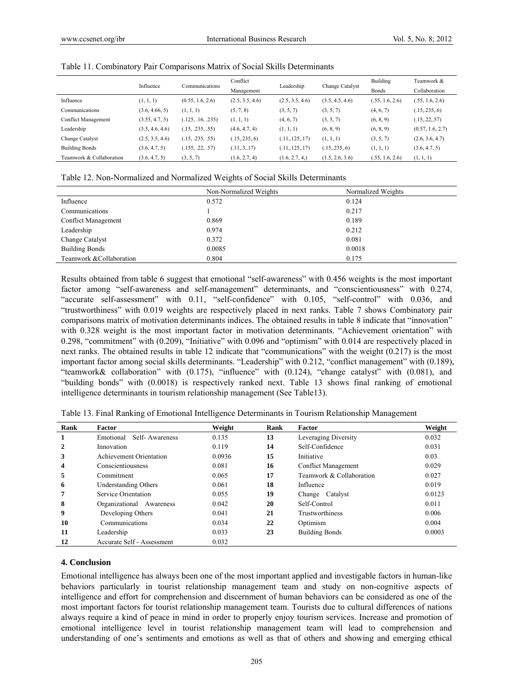|                          | Influence       | Communications    | Conflict<br>Management | Leadership       | Change Catalyst | Building<br><b>Bonds</b> | Teamwork &<br>Collaboration |
|--------------------------|-----------------|-------------------|------------------------|------------------|-----------------|--------------------------|-----------------------------|
| Influence                | (1, 1, 1)       | (0.55, 1.6, 2.6)  | (2.5, 3.5, 4.6)        | (2.5, 3.5, 4.6)  | (3.5, 4.5, 4.6) | (.55, 1.6, 2.6)          | (.55, 1.6, 2.6)             |
| Communications           | (3.6, 4.66, 5)  | (1, 1, 1)         | (5, 7, 8)              | (3, 5, 7)        | (3, 5, 7)       | (4, 6, 7)                | (.15, .235, .6)             |
| Conflict Management      | (3.55, 4.7, 5)  | (.125, .16, .235) | (1, 1, 1)              | (4, 6, 7)        | (3, 5, 7)       | (6, 8, 9)                | (.15,.22,.57)               |
| Leadership               | (3.5, 4.6, 4.6) | (.15, .235, .55)  | (4.6, 4.7, 4)          | (1, 1, 1)        | (6, 8, 9)       | (6, 8, 9)                | (0.57, 1.6, 2.7)            |
| Change Catalyst          | (2.5, 3.5, 4.6) | (.15, .235, .55)  | (.15, .235, .6)        | (.11, .125, .17) | (1, 1, 1)       | (3, 5, 7)                | (2.6, 3.6, 4.7)             |
| <b>Building Bonds</b>    | (3.6, 4.7, 5)   | (.155, .22, .57)  | (.11, .3, .17)         | (.11, .125, .17) | (.15, .235, .6) | (1, 1, 1)                | (3.6, 4.7, 5)               |
| Teamwork & Collaboration | (3.6, 4.7, 5)   | (3, 5, 7)         | (1.6, 2.7, 4)          | (1.6, 2.7, 4)    | (1.5, 2.6, 3.6) | (.55, 1.6, 2.6)          | (1, 1, 1)                   |

| Table 11. Combinatory Pair Comparisons Matrix of Social Skills Determinants |  |  |  |
|-----------------------------------------------------------------------------|--|--|--|
|-----------------------------------------------------------------------------|--|--|--|

|  | Table 12. Non-Normalized and Normalized Weights of Social Skills Determinants |  |  |
|--|-------------------------------------------------------------------------------|--|--|
|  |                                                                               |  |  |

|                          | Non-Normalized Weights | Normalized Weights |
|--------------------------|------------------------|--------------------|
| Influence                | 0.572                  | 0.124              |
| Communications           |                        | 0.217              |
| Conflict Management      | 0.869                  | 0.189              |
| Leadership               | 0.974                  | 0.212              |
| Change Catalyst          | 0.372                  | 0.081              |
| <b>Building Bonds</b>    | 0.0085                 | 0.0018             |
| Teamwork & Collaboration | 0.804                  | 0.175              |

Results obtained from table 6 suggest that emotional "self-awareness" with 0.456 weights is the most important factor among "self-awareness and self-management" determinants, and "conscientiousness" with 0.274, "accurate self-assessment" with 0.11, "self-confidence" with 0.105, "self-control" with 0.036, and "trustworthiness" with 0.019 weights are respectively placed in next ranks. Table 7 shows Combinatory pair comparisons matrix of motivation determinants indices. The obtained results in table 8 indicate that "innovation" with 0.328 weight is the most important factor in motivation determinants. "Achievement orientation" with 0.298, "commitment" with (0.209), "Initiative" with 0.096 and "optimism" with 0.014 are respectively placed in next ranks. The obtained results in table 12 indicate that "communications" with the weight (0.217) is the most important factor among social skills determinants. "Leadership" with 0.212, "conflict management" with (0.189), "teamwork& collaboration" with (0.175), "influence" with (0.124), "change catalyst" with (0.081), and "building bonds" with (0.0018) is respectively ranked next. Table 13 shows final ranking of emotional intelligence determinants in tourism relationship management (See Table13).

| Rank | Factor                      | Weight | Rank | Factor                     | Weight |
|------|-----------------------------|--------|------|----------------------------|--------|
| 1    | Self-Awareness<br>Emotional | 0.135  | 13   | Leveraging Diversity       | 0.032  |
| 2    | Innovation                  | 0.119  | 14   | Self-Confidence            | 0.031  |
| 3    | Achievement Orientation     | 0.0936 | 15   | Initiative                 | 0.03   |
| 4    | Conscientiousness           | 0.081  | 16   | <b>Conflict Management</b> | 0.029  |
| 5    | Commitment                  | 0.065  | 17   | Teamwork & Collaboration   | 0.027  |
| 6    | <b>Understanding Others</b> | 0.061  | 18   | Influence                  | 0.019  |
| 7    | Service Orientation         | 0.055  | 19   | Change Catalyst            | 0.0123 |
| 8    | Organizational Awareness    | 0.042  | 20   | Self-Control               | 0.011  |
| 9    | Developing Others           | 0.041  | 21   | Trustworthiness            | 0.006  |
| 10   | Communications              | 0.034  | 22   | Optimism                   | 0.004  |
| 11   | Leadership                  | 0.033  | 23   | <b>Building Bonds</b>      | 0.0003 |
| 12   | Accurate Self - Assessment  | 0.032  |      |                            |        |

Table 13. Final Ranking of Emotional Intelligence Determinants in Tourism Relationship Management

## **4. Conclusion**

Emotional intelligence has always been one of the most important applied and investigable factors in human-like behaviors particularly in tourist relationship management team and study on non-cognitive aspects of intelligence and effort for comprehension and discernment of human behaviors can be considered as one of the most important factors for tourist relationship management team. Tourists due to cultural differences of nations always require a kind of peace in mind in order to properly enjoy tourism services. Increase and promotion of emotional intelligence level in tourist relationship management team will lead to comprehension and understanding of one's sentiments and emotions as well as that of others and showing and emerging ethical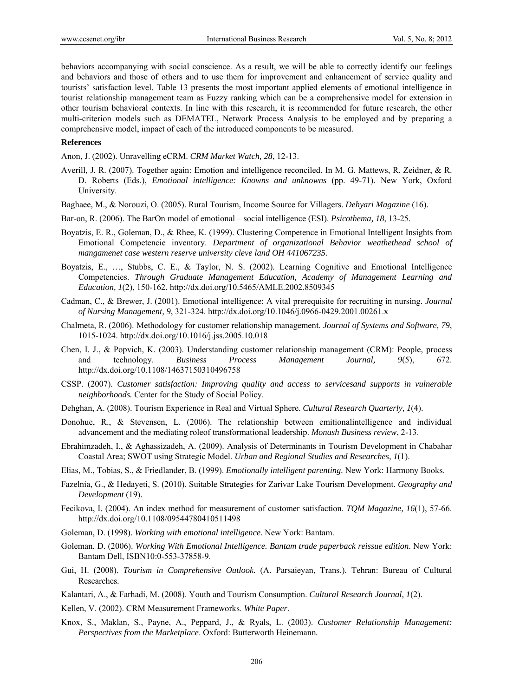behaviors accompanying with social conscience. As a result, we will be able to correctly identify our feelings and behaviors and those of others and to use them for improvement and enhancement of service quality and tourists' satisfaction level. Table 13 presents the most important applied elements of emotional intelligence in tourist relationship management team as Fuzzy ranking which can be a comprehensive model for extension in other tourism behavioral contexts. In line with this research, it is recommended for future research, the other multi-criterion models such as DEMATEL, Network Process Analysis to be employed and by preparing a comprehensive model, impact of each of the introduced components to be measured.

#### **References**

Anon, J. (2002). Unravelling eCRM. *CRM Market Watch, 28*, 12-13.

- Averill, J. R. (2007). Together again: Emotion and intelligence reconciled. In M. G. Mattews, R. Zeidner, & R. D. Roberts (Eds.), *Emotional intelligence: Knowns and unknowns* (pp. 49-71). New York, Oxford University.
- Baghaee, M., & Norouzi, O. (2005). Rural Tourism, Income Source for Villagers. *Dehyari Magazine* (16).
- Bar-on, R. (2006). The BarOn model of emotional social intelligence (ESI). *Psicothema, 18*, 13-25.
- Boyatzis, E. R., Goleman, D., & Rhee, K. (1999). Clustering Competence in Emotional Intelligent Insights from Emotional Competencie inventory. *Department of organizational Behavior weathethead school of mangamenet case western reserve university cleve land OH 441067235.*
- Boyatzis, E., …, Stubbs, C. E., & Taylor, N. S. (2002). Learning Cognitive and Emotional Intelligence Competencies. *Through Graduate Management Education, Academy of Management Learning and Education, 1*(2), 150-162. http://dx.doi.org/10.5465/AMLE.2002.8509345
- Cadman, C., & Brewer, J. (2001). Emotional intelligence: A vital prerequisite for recruiting in nursing. *Journal of Nursing Management, 9*, 321-324. http://dx.doi.org/10.1046/j.0966-0429.2001.00261.x
- Chalmeta, R. (2006). Methodology for customer relationship management. *Journal of Systems and Software, 79*, 1015-1024. http://dx.doi.org/10.1016/j.jss.2005.10.018
- Chen, I. J., & Popvich, K. (2003). Understanding customer relationship management (CRM): People, process and technology. *Business Process Management Journal, 9*(5), 672. http://dx.doi.org/10.1108/14637150310496758
- CSSP. (2007). *Customer satisfaction: Improving quality and access to servicesand supports in vulnerable neighborhoods.* Center for the Study of Social Policy.
- Dehghan, A. (2008). Tourism Experience in Real and Virtual Sphere. *Cultural Research Quarterly, 1*(4).
- Donohue, R., & Stevensen, L. (2006). The relationship between emitionalintelligence and individual advancement and the mediating roleof transformational leadership. *Monash Business review*, 2-13.
- Ebrahimzadeh, I., & Aghassizadeh, A. (2009). Analysis of Determinants in Tourism Development in Chabahar Coastal Area; SWOT using Strategic Model. *Urban and Regional Studies and Researches, 1*(1).
- Elias, M., Tobias, S., & Friedlander, B. (1999). *Emotionally intelligent parenting.* New York: Harmony Books.
- Fazelnia, G., & Hedayeti, S. (2010). Suitable Strategies for Zarivar Lake Tourism Development. *Geography and Development* (19).
- Fecikova, I. (2004). An index method for measurement of customer satisfaction. *TQM Magazine, 16*(1), 57-66. http://dx.doi.org/10.1108/09544780410511498
- Goleman, D. (1998). *Working with emotional intelligence.* New York: Bantam.
- Goleman, D. (2006). *Working With Emotional Intelligence. Bantam trade paperback reissue edition*. New York: Bantam Dell, ISBN10:0-553-37858-9.
- Gui, H. (2008). *Tourism in Comprehensive Outlook.* (A. Parsaieyan, Trans.). Tehran: Bureau of Cultural Researches.
- Kalantari, A., & Farhadi, M. (2008). Youth and Tourism Consumption. *Cultural Research Journal, 1*(2).
- Kellen, V. (2002). CRM Measurement Frameworks. *White Paper*.
- Knox, S., Maklan, S., Payne, A., Peppard, J., & Ryals, L. (2003). *Customer Relationship Management: Perspectives from the Marketplace*. Oxford: Butterworth Heinemann*.*